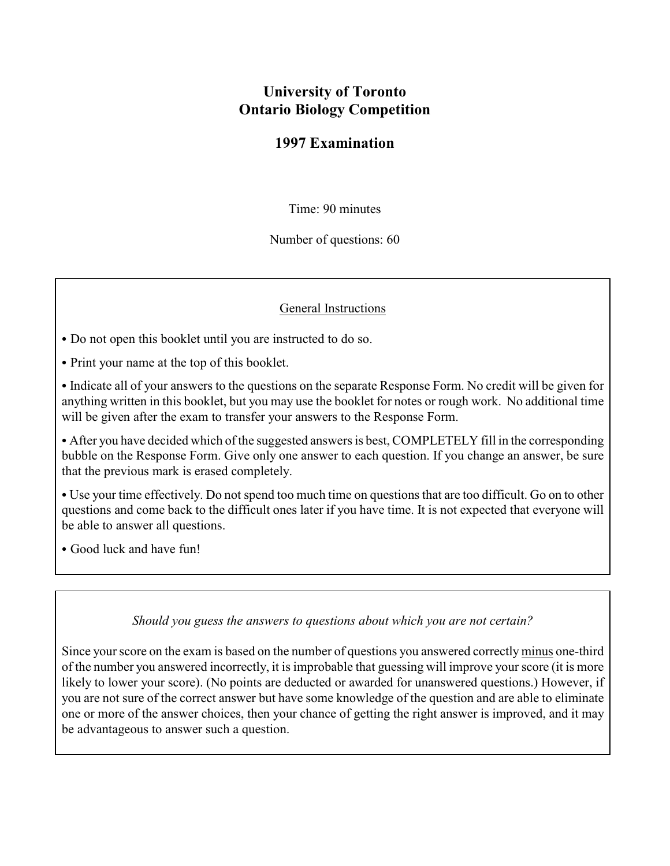# **University of Toronto Ontario Biology Competition**

## **1997 Examination**

Time: 90 minutes

Number of questions: 60

#### General Instructions

- Do not open this booklet until you are instructed to do so.
- Print your name at the top of this booklet.
- Indicate all of your answers to the questions on the separate Response Form. No credit will be given for anything written in this booklet, but you may use the booklet for notes or rough work. No additional time will be given after the exam to transfer your answers to the Response Form.

• After you have decided which of the suggested answers is best, COMPLETELY fill in the corresponding bubble on the Response Form. Give only one answer to each question. If you change an answer, be sure that the previous mark is erased completely.

• Use your time effectively. Do not spend too much time on questions that are too difficult. Go on to other questions and come back to the difficult ones later if you have time. It is not expected that everyone will be able to answer all questions.

• Good luck and have fun!

#### *Should you guess the answers to questions about which you are not certain?*

Since your score on the exam is based on the number of questions you answered correctly minus one-third of the number you answered incorrectly, it is improbable that guessing will improve your score (it is more likely to lower your score). (No points are deducted or awarded for unanswered questions.) However, if you are not sure of the correct answer but have some knowledge of the question and are able to eliminate one or more of the answer choices, then your chance of getting the right answer is improved, and it may be advantageous to answer such a question.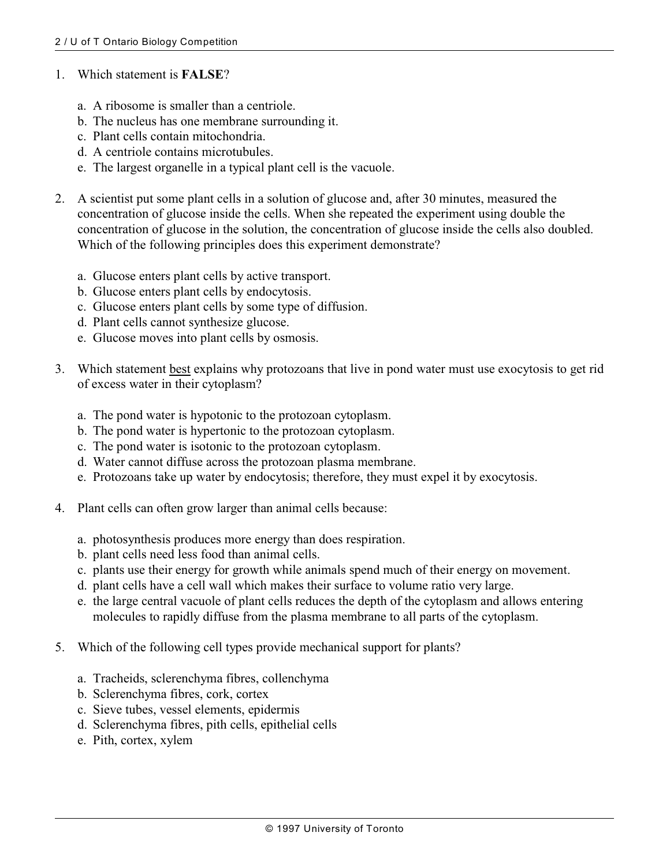#### 1. Which statement is **FALSE**?

- a. A ribosome is smaller than a centriole.
- b. The nucleus has one membrane surrounding it.
- c. Plant cells contain mitochondria.
- d. A centriole contains microtubules.
- e. The largest organelle in a typical plant cell is the vacuole.
- 2. A scientist put some plant cells in a solution of glucose and, after 30 minutes, measured the concentration of glucose inside the cells. When she repeated the experiment using double the concentration of glucose in the solution, the concentration of glucose inside the cells also doubled. Which of the following principles does this experiment demonstrate?
	- a. Glucose enters plant cells by active transport.
	- b. Glucose enters plant cells by endocytosis.
	- c. Glucose enters plant cells by some type of diffusion.
	- d. Plant cells cannot synthesize glucose.
	- e. Glucose moves into plant cells by osmosis.
- 3. Which statement best explains why protozoans that live in pond water must use exocytosis to get rid of excess water in their cytoplasm?
	- a. The pond water is hypotonic to the protozoan cytoplasm.
	- b. The pond water is hypertonic to the protozoan cytoplasm.
	- c. The pond water is isotonic to the protozoan cytoplasm.
	- d. Water cannot diffuse across the protozoan plasma membrane.
	- e. Protozoans take up water by endocytosis; therefore, they must expel it by exocytosis.
- 4. Plant cells can often grow larger than animal cells because:
	- a. photosynthesis produces more energy than does respiration.
	- b. plant cells need less food than animal cells.
	- c. plants use their energy for growth while animals spend much of their energy on movement.
	- d. plant cells have a cell wall which makes their surface to volume ratio very large.
	- e. the large central vacuole of plant cells reduces the depth of the cytoplasm and allows entering molecules to rapidly diffuse from the plasma membrane to all parts of the cytoplasm.
- 5. Which of the following cell types provide mechanical support for plants?
	- a. Tracheids, sclerenchyma fibres, collenchyma
	- b. Sclerenchyma fibres, cork, cortex
	- c. Sieve tubes, vessel elements, epidermis
	- d. Sclerenchyma fibres, pith cells, epithelial cells
	- e. Pith, cortex, xylem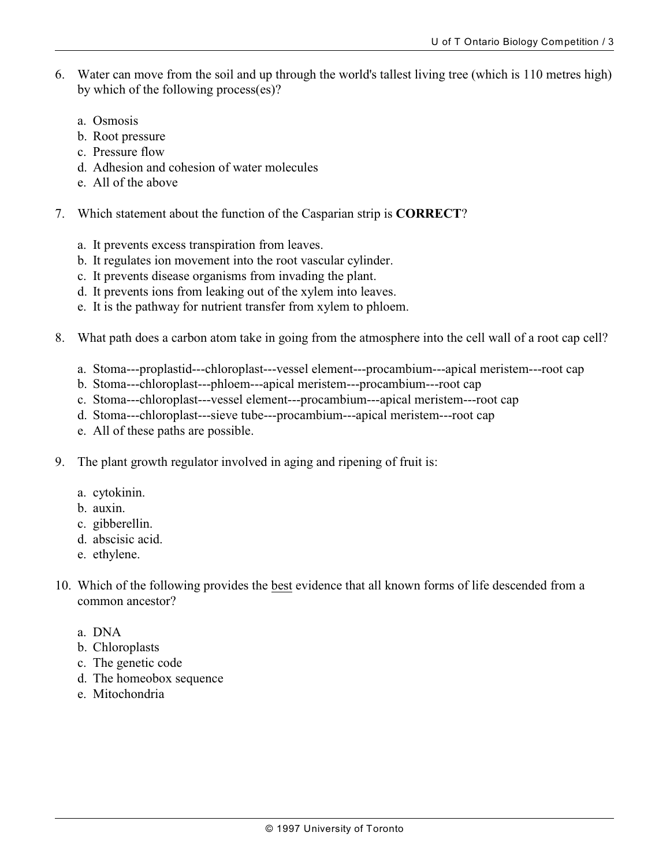- 6. Water can move from the soil and up through the world's tallest living tree (which is 110 metres high) by which of the following process(es)?
	- a. Osmosis
	- b. Root pressure
	- c. Pressure flow
	- d. Adhesion and cohesion of water molecules
	- e. All of the above
- 7. Which statement about the function of the Casparian strip is **CORRECT**?
	- a. It prevents excess transpiration from leaves.
	- b. It regulates ion movement into the root vascular cylinder.
	- c. It prevents disease organisms from invading the plant.
	- d. It prevents ions from leaking out of the xylem into leaves.
	- e. It is the pathway for nutrient transfer from xylem to phloem.
- 8. What path does a carbon atom take in going from the atmosphere into the cell wall of a root cap cell?
	- a. Stoma---proplastid---chloroplast---vessel element---procambium---apical meristem---root cap
	- b. Stoma---chloroplast---phloem---apical meristem---procambium---root cap
	- c. Stoma---chloroplast---vessel element---procambium---apical meristem---root cap
	- d. Stoma---chloroplast---sieve tube---procambium---apical meristem---root cap
	- e. All of these paths are possible.
- 9. The plant growth regulator involved in aging and ripening of fruit is:
	- a. cytokinin.
	- b. auxin.
	- c. gibberellin.
	- d. abscisic acid.
	- e. ethylene.
- 10. Which of the following provides the best evidence that all known forms of life descended from a common ancestor?
	- a. DNA
	- b. Chloroplasts
	- c. The genetic code
	- d. The homeobox sequence
	- e. Mitochondria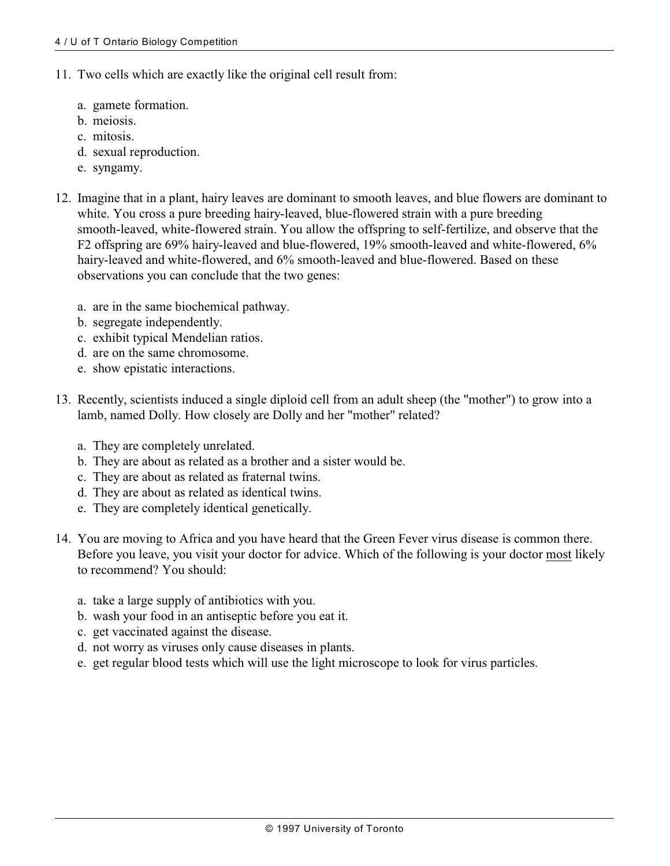- 11. Two cells which are exactly like the original cell result from:
	- a. gamete formation.
	- b. meiosis.
	- c. mitosis.
	- d. sexual reproduction.
	- e. syngamy.
- 12. Imagine that in a plant, hairy leaves are dominant to smooth leaves, and blue flowers are dominant to white. You cross a pure breeding hairy-leaved, blue-flowered strain with a pure breeding smooth-leaved, white-flowered strain. You allow the offspring to self-fertilize, and observe that the F2 offspring are 69% hairy-leaved and blue-flowered, 19% smooth-leaved and white-flowered, 6% hairy-leaved and white-flowered, and 6% smooth-leaved and blue-flowered. Based on these observations you can conclude that the two genes:
	- a. are in the same biochemical pathway.
	- b. segregate independently.
	- c. exhibit typical Mendelian ratios.
	- d. are on the same chromosome.
	- e. show epistatic interactions.
- 13. Recently, scientists induced a single diploid cell from an adult sheep (the "mother") to grow into a lamb, named Dolly. How closely are Dolly and her "mother" related?
	- a. They are completely unrelated.
	- b. They are about as related as a brother and a sister would be.
	- c. They are about as related as fraternal twins.
	- d. They are about as related as identical twins.
	- e. They are completely identical genetically.
- 14. You are moving to Africa and you have heard that the Green Fever virus disease is common there. Before you leave, you visit your doctor for advice. Which of the following is your doctor most likely to recommend? You should:
	- a. take a large supply of antibiotics with you.
	- b. wash your food in an antiseptic before you eat it.
	- c. get vaccinated against the disease.
	- d. not worry as viruses only cause diseases in plants.
	- e. get regular blood tests which will use the light microscope to look for virus particles.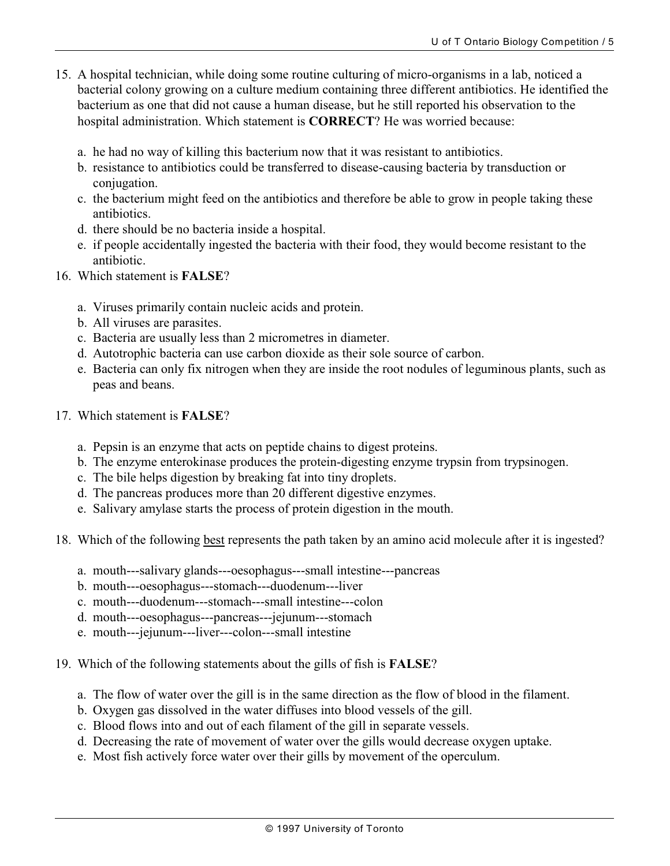- 15. A hospital technician, while doing some routine culturing of micro-organisms in a lab, noticed a bacterial colony growing on a culture medium containing three different antibiotics. He identified the bacterium as one that did not cause a human disease, but he still reported his observation to the hospital administration. Which statement is **CORRECT**? He was worried because:
	- a. he had no way of killing this bacterium now that it was resistant to antibiotics.
	- b. resistance to antibiotics could be transferred to disease-causing bacteria by transduction or conjugation.
	- c. the bacterium might feed on the antibiotics and therefore be able to grow in people taking these antibiotics.
	- d. there should be no bacteria inside a hospital.
	- e. if people accidentally ingested the bacteria with their food, they would become resistant to the antibiotic.
- 16. Which statement is **FALSE**?
	- a. Viruses primarily contain nucleic acids and protein.
	- b. All viruses are parasites.
	- c. Bacteria are usually less than 2 micrometres in diameter.
	- d. Autotrophic bacteria can use carbon dioxide as their sole source of carbon.
	- e. Bacteria can only fix nitrogen when they are inside the root nodules of leguminous plants, such as peas and beans.
- 17. Which statement is **FALSE**?
	- a. Pepsin is an enzyme that acts on peptide chains to digest proteins.
	- b. The enzyme enterokinase produces the protein-digesting enzyme trypsin from trypsinogen.
	- c. The bile helps digestion by breaking fat into tiny droplets.
	- d. The pancreas produces more than 20 different digestive enzymes.
	- e. Salivary amylase starts the process of protein digestion in the mouth.
- 18. Which of the following best represents the path taken by an amino acid molecule after it is ingested?
	- a. mouth---salivary glands---oesophagus---small intestine---pancreas
	- b. mouth---oesophagus---stomach---duodenum---liver
	- c. mouth---duodenum---stomach---small intestine---colon
	- d. mouth---oesophagus---pancreas---jejunum---stomach
	- e. mouth---jejunum---liver---colon---small intestine
- 19. Which of the following statements about the gills of fish is **FALSE**?
	- a. The flow of water over the gill is in the same direction as the flow of blood in the filament.
	- b. Oxygen gas dissolved in the water diffuses into blood vessels of the gill.
	- c. Blood flows into and out of each filament of the gill in separate vessels.
	- d. Decreasing the rate of movement of water over the gills would decrease oxygen uptake.
	- e. Most fish actively force water over their gills by movement of the operculum.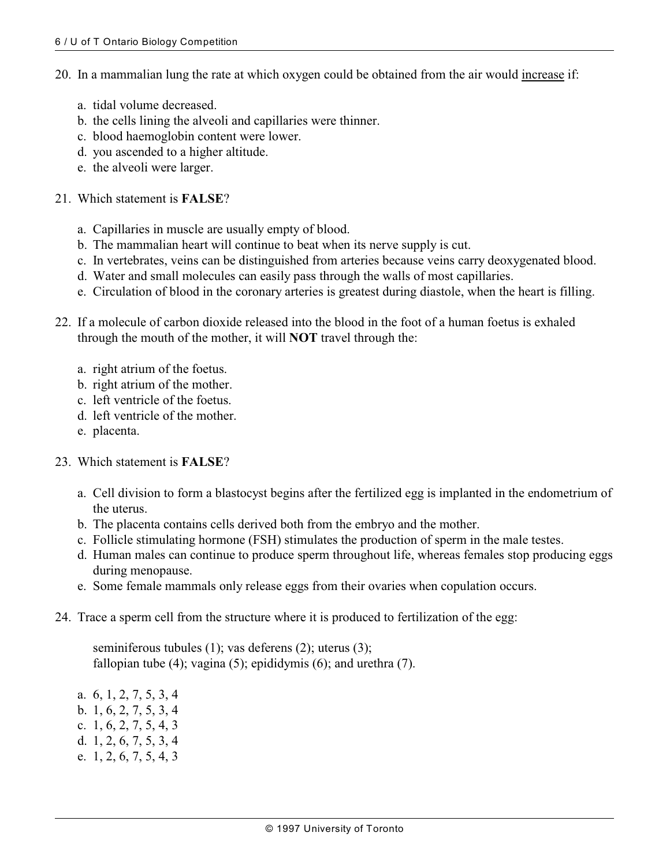- 20. In a mammalian lung the rate at which oxygen could be obtained from the air would increase if:
	- a. tidal volume decreased.
	- b. the cells lining the alveoli and capillaries were thinner.
	- c. blood haemoglobin content were lower.
	- d. you ascended to a higher altitude.
	- e. the alveoli were larger.

#### 21. Which statement is **FALSE**?

- a. Capillaries in muscle are usually empty of blood.
- b. The mammalian heart will continue to beat when its nerve supply is cut.
- c. In vertebrates, veins can be distinguished from arteries because veins carry deoxygenated blood.
- d. Water and small molecules can easily pass through the walls of most capillaries.
- e. Circulation of blood in the coronary arteries is greatest during diastole, when the heart is filling.
- 22. If a molecule of carbon dioxide released into the blood in the foot of a human foetus is exhaled through the mouth of the mother, it will **NOT** travel through the:
	- a. right atrium of the foetus.
	- b. right atrium of the mother.
	- c. left ventricle of the foetus.
	- d. left ventricle of the mother.
	- e. placenta.

### 23. Which statement is **FALSE**?

- a. Cell division to form a blastocyst begins after the fertilized egg is implanted in the endometrium of the uterus.
- b. The placenta contains cells derived both from the embryo and the mother.
- c. Follicle stimulating hormone (FSH) stimulates the production of sperm in the male testes.
- d. Human males can continue to produce sperm throughout life, whereas females stop producing eggs during menopause.
- e. Some female mammals only release eggs from their ovaries when copulation occurs.
- 24. Trace a sperm cell from the structure where it is produced to fertilization of the egg:

seminiferous tubules (1); vas deferens (2); uterus (3); fallopian tube (4); vagina (5); epididymis (6); and urethra (7).

a. 6, 1, 2, 7, 5, 3, 4 b. 1, 6, 2, 7, 5, 3, 4 c. 1, 6, 2, 7, 5, 4, 3 d. 1, 2, 6, 7, 5, 3, 4 e. 1, 2, 6, 7, 5, 4, 3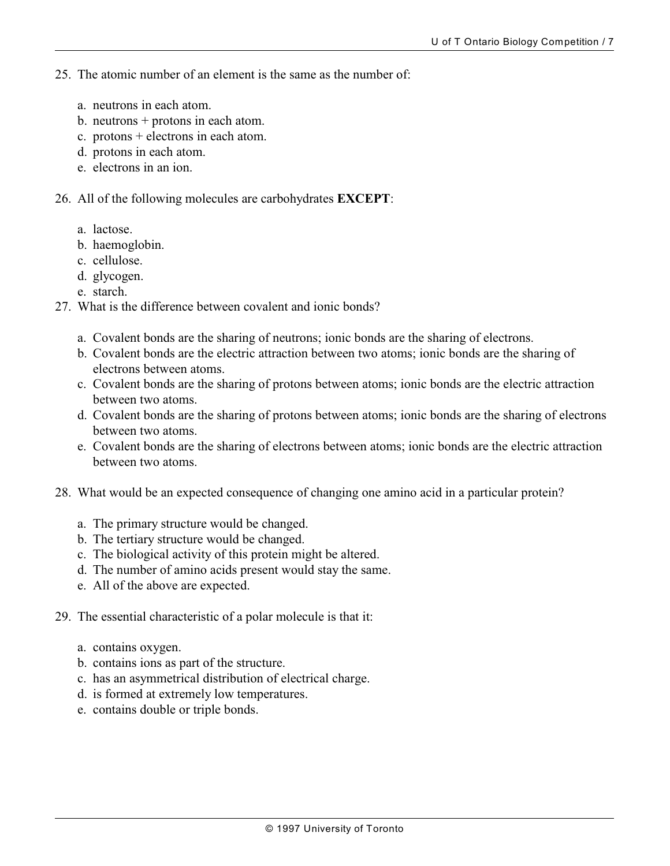- 25. The atomic number of an element is the same as the number of:
	- a. neutrons in each atom.
	- b. neutrons + protons in each atom.
	- c. protons + electrons in each atom.
	- d. protons in each atom.
	- e. electrons in an ion.
- 26. All of the following molecules are carbohydrates **EXCEPT**:
	- a. lactose.
	- b. haemoglobin.
	- c. cellulose.
	- d. glycogen.
	- e. starch.
- 27. What is the difference between covalent and ionic bonds?
	- a. Covalent bonds are the sharing of neutrons; ionic bonds are the sharing of electrons.
	- b. Covalent bonds are the electric attraction between two atoms; ionic bonds are the sharing of electrons between atoms.
	- c. Covalent bonds are the sharing of protons between atoms; ionic bonds are the electric attraction between two atoms.
	- d. Covalent bonds are the sharing of protons between atoms; ionic bonds are the sharing of electrons between two atoms.
	- e. Covalent bonds are the sharing of electrons between atoms; ionic bonds are the electric attraction between two atoms.
- 28. What would be an expected consequence of changing one amino acid in a particular protein?
	- a. The primary structure would be changed.
	- b. The tertiary structure would be changed.
	- c. The biological activity of this protein might be altered.
	- d. The number of amino acids present would stay the same.
	- e. All of the above are expected.
- 29. The essential characteristic of a polar molecule is that it:
	- a. contains oxygen.
	- b. contains ions as part of the structure.
	- c. has an asymmetrical distribution of electrical charge.
	- d. is formed at extremely low temperatures.
	- e. contains double or triple bonds.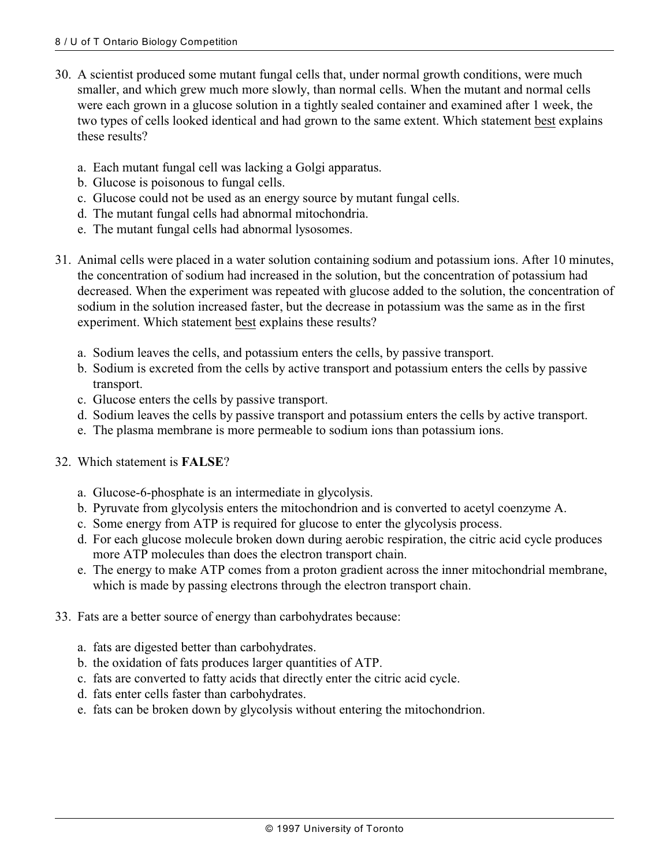- 30. A scientist produced some mutant fungal cells that, under normal growth conditions, were much smaller, and which grew much more slowly, than normal cells. When the mutant and normal cells were each grown in a glucose solution in a tightly sealed container and examined after 1 week, the two types of cells looked identical and had grown to the same extent. Which statement best explains these results?
	- a. Each mutant fungal cell was lacking a Golgi apparatus.
	- b. Glucose is poisonous to fungal cells.
	- c. Glucose could not be used as an energy source by mutant fungal cells.
	- d. The mutant fungal cells had abnormal mitochondria.
	- e. The mutant fungal cells had abnormal lysosomes.
- 31. Animal cells were placed in a water solution containing sodium and potassium ions. After 10 minutes, the concentration of sodium had increased in the solution, but the concentration of potassium had decreased. When the experiment was repeated with glucose added to the solution, the concentration of sodium in the solution increased faster, but the decrease in potassium was the same as in the first experiment. Which statement best explains these results?
	- a. Sodium leaves the cells, and potassium enters the cells, by passive transport.
	- b. Sodium is excreted from the cells by active transport and potassium enters the cells by passive transport.
	- c. Glucose enters the cells by passive transport.
	- d. Sodium leaves the cells by passive transport and potassium enters the cells by active transport.
	- e. The plasma membrane is more permeable to sodium ions than potassium ions.
- 32. Which statement is **FALSE**?
	- a. Glucose-6-phosphate is an intermediate in glycolysis.
	- b. Pyruvate from glycolysis enters the mitochondrion and is converted to acetyl coenzyme A.
	- c. Some energy from ATP is required for glucose to enter the glycolysis process.
	- d. For each glucose molecule broken down during aerobic respiration, the citric acid cycle produces more ATP molecules than does the electron transport chain.
	- e. The energy to make ATP comes from a proton gradient across the inner mitochondrial membrane, which is made by passing electrons through the electron transport chain.
- 33. Fats are a better source of energy than carbohydrates because:
	- a. fats are digested better than carbohydrates.
	- b. the oxidation of fats produces larger quantities of ATP.
	- c. fats are converted to fatty acids that directly enter the citric acid cycle.
	- d. fats enter cells faster than carbohydrates.
	- e. fats can be broken down by glycolysis without entering the mitochondrion.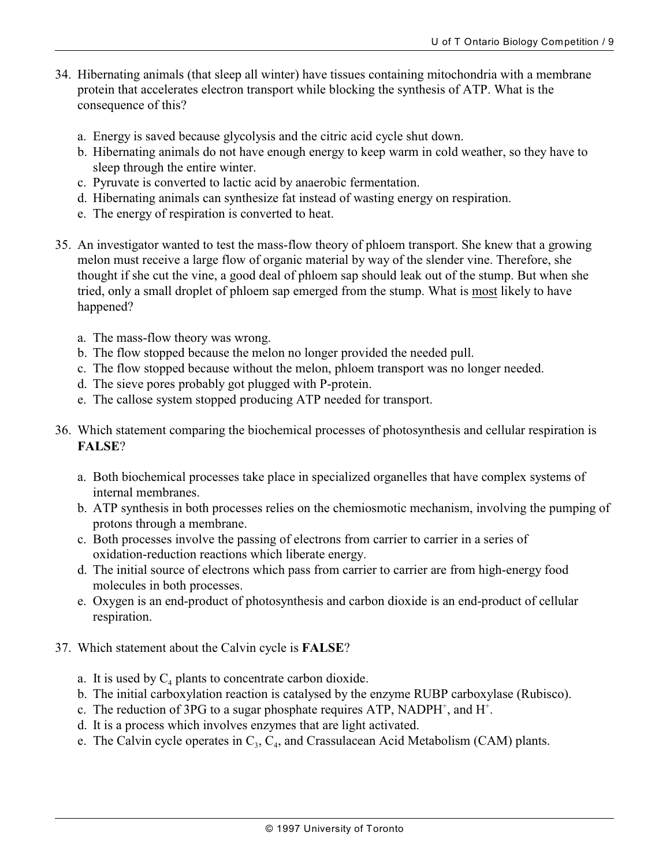- 34. Hibernating animals (that sleep all winter) have tissues containing mitochondria with a membrane protein that accelerates electron transport while blocking the synthesis of ATP. What is the consequence of this?
	- a. Energy is saved because glycolysis and the citric acid cycle shut down.
	- b. Hibernating animals do not have enough energy to keep warm in cold weather, so they have to sleep through the entire winter.
	- c. Pyruvate is converted to lactic acid by anaerobic fermentation.
	- d. Hibernating animals can synthesize fat instead of wasting energy on respiration.
	- e. The energy of respiration is converted to heat.
- 35. An investigator wanted to test the mass-flow theory of phloem transport. She knew that a growing melon must receive a large flow of organic material by way of the slender vine. Therefore, she thought if she cut the vine, a good deal of phloem sap should leak out of the stump. But when she tried, only a small droplet of phloem sap emerged from the stump. What is most likely to have happened?
	- a. The mass-flow theory was wrong.
	- b. The flow stopped because the melon no longer provided the needed pull.
	- c. The flow stopped because without the melon, phloem transport was no longer needed.
	- d. The sieve pores probably got plugged with P-protein.
	- e. The callose system stopped producing ATP needed for transport.
- 36. Which statement comparing the biochemical processes of photosynthesis and cellular respiration is **FALSE**?
	- a. Both biochemical processes take place in specialized organelles that have complex systems of internal membranes.
	- b. ATP synthesis in both processes relies on the chemiosmotic mechanism, involving the pumping of protons through a membrane.
	- c. Both processes involve the passing of electrons from carrier to carrier in a series of oxidation-reduction reactions which liberate energy.
	- d. The initial source of electrons which pass from carrier to carrier are from high-energy food molecules in both processes.
	- e. Oxygen is an end-product of photosynthesis and carbon dioxide is an end-product of cellular respiration.
- 37. Which statement about the Calvin cycle is **FALSE**?
	- a. It is used by  $C_4$  plants to concentrate carbon dioxide.
	- b. The initial carboxylation reaction is catalysed by the enzyme RUBP carboxylase (Rubisco).
	- c. The reduction of 3PG to a sugar phosphate requires ATP, NADPH<sup>+</sup>, and H<sup>+</sup>.
	- d. It is a process which involves enzymes that are light activated.
	- e. The Calvin cycle operates in  $C_3$ ,  $C_4$ , and Crassulacean Acid Metabolism (CAM) plants.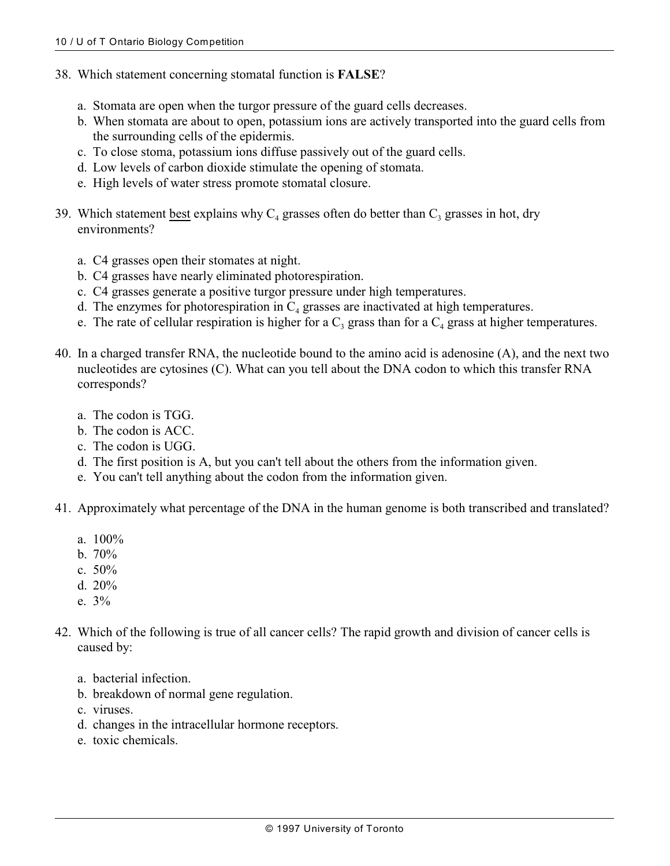- 38. Which statement concerning stomatal function is **FALSE**?
	- a. Stomata are open when the turgor pressure of the guard cells decreases.
	- b. When stomata are about to open, potassium ions are actively transported into the guard cells from the surrounding cells of the epidermis.
	- c. To close stoma, potassium ions diffuse passively out of the guard cells.
	- d. Low levels of carbon dioxide stimulate the opening of stomata.
	- e. High levels of water stress promote stomatal closure.
- 39. Which statement best explains why  $C_4$  grasses often do better than  $C_3$  grasses in hot, dry environments?
	- a. C4 grasses open their stomates at night.
	- b. C4 grasses have nearly eliminated photorespiration.
	- c. C4 grasses generate a positive turgor pressure under high temperatures.
	- d. The enzymes for photorespiration in  $C_4$  grasses are inactivated at high temperatures.
	- e. The rate of cellular respiration is higher for a  $C_3$  grass than for a  $C_4$  grass at higher temperatures.
- 40. In a charged transfer RNA, the nucleotide bound to the amino acid is adenosine (A), and the next two nucleotides are cytosines (C). What can you tell about the DNA codon to which this transfer RNA corresponds?
	- a. The codon is TGG.
	- b. The codon is ACC.
	- c. The codon is UGG.
	- d. The first position is A, but you can't tell about the others from the information given.
	- e. You can't tell anything about the codon from the information given.
- 41. Approximately what percentage of the DNA in the human genome is both transcribed and translated?
	- a. 100%
	- b. 70%
	- c. 50%
	- d. 20%
	- e. 3%
- 42. Which of the following is true of all cancer cells? The rapid growth and division of cancer cells is caused by:
	- a. bacterial infection.
	- b. breakdown of normal gene regulation.
	- c. viruses.
	- d. changes in the intracellular hormone receptors.
	- e. toxic chemicals.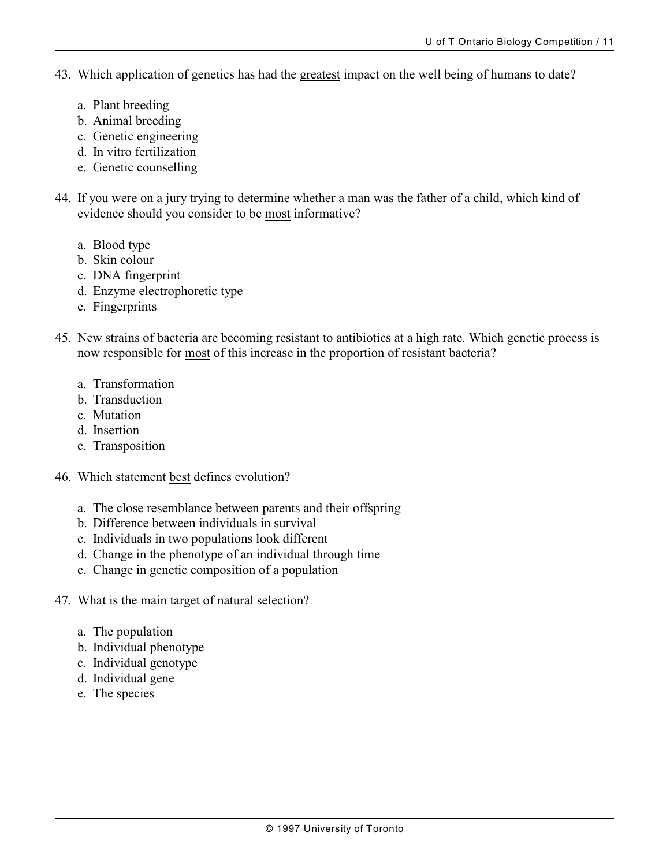- 43. Which application of genetics has had the greatest impact on the well being of humans to date?
	- a. Plant breeding
	- b. Animal breeding
	- c. Genetic engineering
	- d. In vitro fertilization
	- e. Genetic counselling
- 44. If you were on a jury trying to determine whether a man was the father of a child, which kind of evidence should you consider to be most informative?
	- a. Blood type
	- b. Skin colour
	- c. DNA fingerprint
	- d. Enzyme electrophoretic type
	- e. Fingerprints
- 45. New strains of bacteria are becoming resistant to antibiotics at a high rate. Which genetic process is now responsible for most of this increase in the proportion of resistant bacteria?
	- a. Transformation
	- b. Transduction
	- c. Mutation
	- d. Insertion
	- e. Transposition
- 46. Which statement best defines evolution?
	- a. The close resemblance between parents and their offspring
	- b. Difference between individuals in survival
	- c. Individuals in two populations look different
	- d. Change in the phenotype of an individual through time
	- e. Change in genetic composition of a population
- 47. What is the main target of natural selection?
	- a. The population
	- b. Individual phenotype
	- c. Individual genotype
	- d. Individual gene
	- e. The species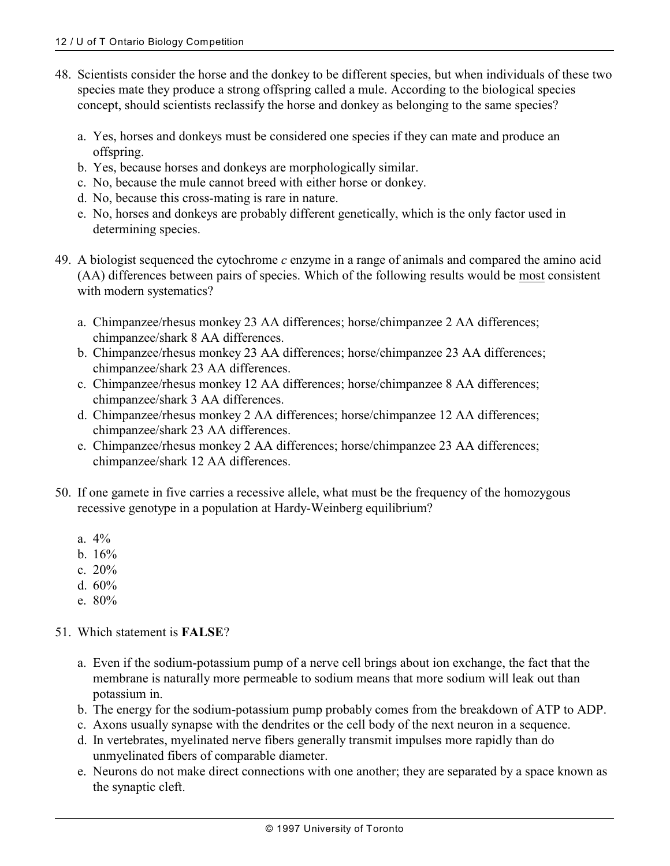- 48. Scientists consider the horse and the donkey to be different species, but when individuals of these two species mate they produce a strong offspring called a mule. According to the biological species concept, should scientists reclassify the horse and donkey as belonging to the same species?
	- a. Yes, horses and donkeys must be considered one species if they can mate and produce an offspring.
	- b. Yes, because horses and donkeys are morphologically similar.
	- c. No, because the mule cannot breed with either horse or donkey.
	- d. No, because this cross-mating is rare in nature.
	- e. No, horses and donkeys are probably different genetically, which is the only factor used in determining species.
- 49. A biologist sequenced the cytochrome *c* enzyme in a range of animals and compared the amino acid (AA) differences between pairs of species. Which of the following results would be most consistent with modern systematics?
	- a. Chimpanzee/rhesus monkey 23 AA differences; horse/chimpanzee 2 AA differences; chimpanzee/shark 8 AA differences.
	- b. Chimpanzee/rhesus monkey 23 AA differences; horse/chimpanzee 23 AA differences; chimpanzee/shark 23 AA differences.
	- c. Chimpanzee/rhesus monkey 12 AA differences; horse/chimpanzee 8 AA differences; chimpanzee/shark 3 AA differences.
	- d. Chimpanzee/rhesus monkey 2 AA differences; horse/chimpanzee 12 AA differences; chimpanzee/shark 23 AA differences.
	- e. Chimpanzee/rhesus monkey 2 AA differences; horse/chimpanzee 23 AA differences; chimpanzee/shark 12 AA differences.
- 50. If one gamete in five carries a recessive allele, what must be the frequency of the homozygous recessive genotype in a population at Hardy-Weinberg equilibrium?
	- a. 4%
	- b. 16%
	- c. 20%
	- d. 60%
	- e. 80%

#### 51. Which statement is **FALSE**?

- a. Even if the sodium-potassium pump of a nerve cell brings about ion exchange, the fact that the membrane is naturally more permeable to sodium means that more sodium will leak out than potassium in.
- b. The energy for the sodium-potassium pump probably comes from the breakdown of ATP to ADP.
- c. Axons usually synapse with the dendrites or the cell body of the next neuron in a sequence.
- d. In vertebrates, myelinated nerve fibers generally transmit impulses more rapidly than do unmyelinated fibers of comparable diameter.
- e. Neurons do not make direct connections with one another; they are separated by a space known as the synaptic cleft.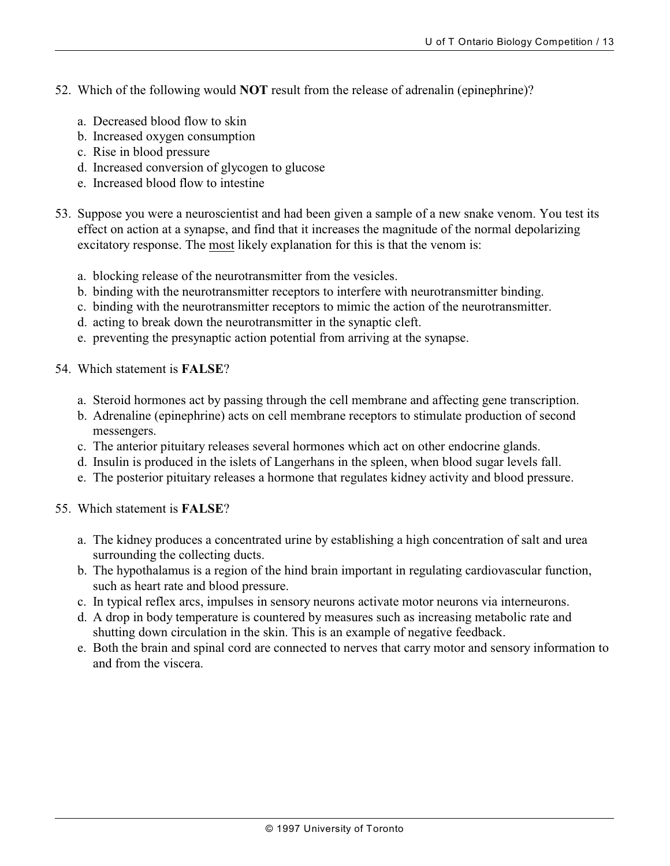- 52. Which of the following would **NOT** result from the release of adrenalin (epinephrine)?
	- a. Decreased blood flow to skin
	- b. Increased oxygen consumption
	- c. Rise in blood pressure
	- d. Increased conversion of glycogen to glucose
	- e. Increased blood flow to intestine
- 53. Suppose you were a neuroscientist and had been given a sample of a new snake venom. You test its effect on action at a synapse, and find that it increases the magnitude of the normal depolarizing excitatory response. The most likely explanation for this is that the venom is:
	- a. blocking release of the neurotransmitter from the vesicles.
	- b. binding with the neurotransmitter receptors to interfere with neurotransmitter binding.
	- c. binding with the neurotransmitter receptors to mimic the action of the neurotransmitter.
	- d. acting to break down the neurotransmitter in the synaptic cleft.
	- e. preventing the presynaptic action potential from arriving at the synapse.
- 54. Which statement is **FALSE**?
	- a. Steroid hormones act by passing through the cell membrane and affecting gene transcription.
	- b. Adrenaline (epinephrine) acts on cell membrane receptors to stimulate production of second messengers.
	- c. The anterior pituitary releases several hormones which act on other endocrine glands.
	- d. Insulin is produced in the islets of Langerhans in the spleen, when blood sugar levels fall.
	- e. The posterior pituitary releases a hormone that regulates kidney activity and blood pressure.
- 55. Which statement is **FALSE**?
	- a. The kidney produces a concentrated urine by establishing a high concentration of salt and urea surrounding the collecting ducts.
	- b. The hypothalamus is a region of the hind brain important in regulating cardiovascular function, such as heart rate and blood pressure.
	- c. In typical reflex arcs, impulses in sensory neurons activate motor neurons via interneurons.
	- d. A drop in body temperature is countered by measures such as increasing metabolic rate and shutting down circulation in the skin. This is an example of negative feedback.
	- e. Both the brain and spinal cord are connected to nerves that carry motor and sensory information to and from the viscera.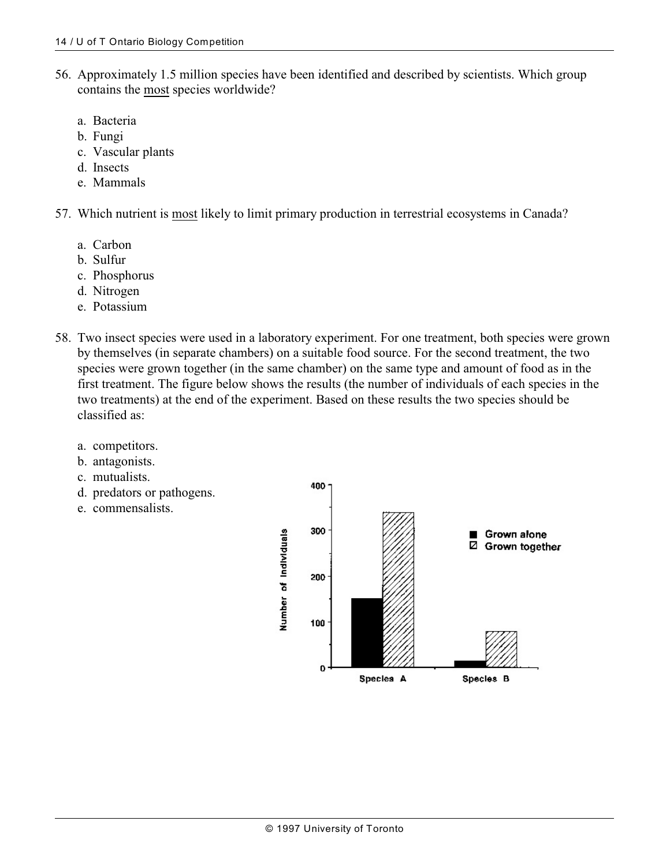- 56. Approximately 1.5 million species have been identified and described by scientists. Which group contains the most species worldwide?
	- a. Bacteria
	- b. Fungi
	- c. Vascular plants
	- d. Insects
	- e. Mammals
- 57. Which nutrient is most likely to limit primary production in terrestrial ecosystems in Canada?
	- a. Carbon
	- b. Sulfur
	- c. Phosphorus
	- d. Nitrogen
	- e. Potassium
- 58. Two insect species were used in a laboratory experiment. For one treatment, both species were grown by themselves (in separate chambers) on a suitable food source. For the second treatment, the two species were grown together (in the same chamber) on the same type and amount of food as in the first treatment. The figure below shows the results (the number of individuals of each species in the two treatments) at the end of the experiment. Based on these results the two species should be classified as:
	- a. competitors.
	- b. antagonists.
	- c. mutualists.
	- d. predators or pathogens.
	- e. commensalists.